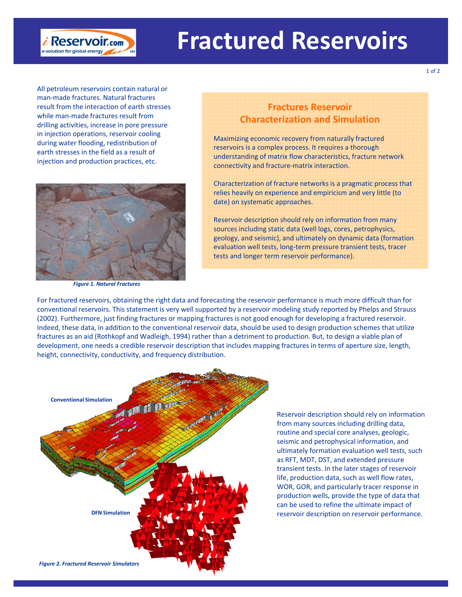

All petroleum reservoirs contain natural or man‐made fractures. Natural fractures result from the interaction of earth stresses while man‐made fractures result from drilling activities, increase in pore pressure in injection operations, reservoir cooling during water flooding, redistribution of earth stresses in the field as a result of injection and production practices, etc.

 $\dot{\mathbf{\ell}}$  Reservoir.com e-solution for global energy



*Figure 1. Natural Fractures*

## **Fractures Reservoir Characterization and Simulation**

Maximizing economic recovery from naturally fractured reservoirs is a complex process. It requires a thorough understanding of matrix flow characteristics, fracture network connectivity and fracture‐matrix interaction.

Characterization of fracture networks is a pragmatic process that relies heavily on experience and empiricism and very little (to date) on systematic approaches.

Reservoir description should rely on information from many sources including static data (well logs, cores, petrophysics, geology, and seismic), and ultimately on dynamic data (formation evaluation well tests, long‐term pressure transient tests, tracer tests and longer term reservoir performance).

For fractured reservoirs, obtaining the right data and forecasting the reservoir performance is much more difficult than for conventional reservoirs. This statement is very well supported by a reservoir modeling study reported by Phelps and Strauss (2002). Furthermore, just finding fractures or mapping fractures is not good enough for developing a fractured reservoir. Indeed, these data, in addition to the conventional reservoir data, should be used to design production schemes that utilize fractures as an aid (Rothkopf and Wadleigh, 1994) rather than a detriment to production. But, to design a viable plan of development, one needs a credible reservoir description that includes mapping fractures in terms of aperture size, length, height, connectivity, conductivity, and frequency distribution.



Reservoir description should rely on information from many sources including drilling data, routine and special core analyses, geologic, seismic and petrophysical information, and ultimately formation evaluation well tests, such as RFT, MDT, DST, and extended pressure transient tests. In the later stages of reservoir life, production data, such as well flow rates, WOR, GOR, and particularly tracer response in production wells, provide the type of data that can be used to refine the ultimate impact of reservoir description on reservoir performance.